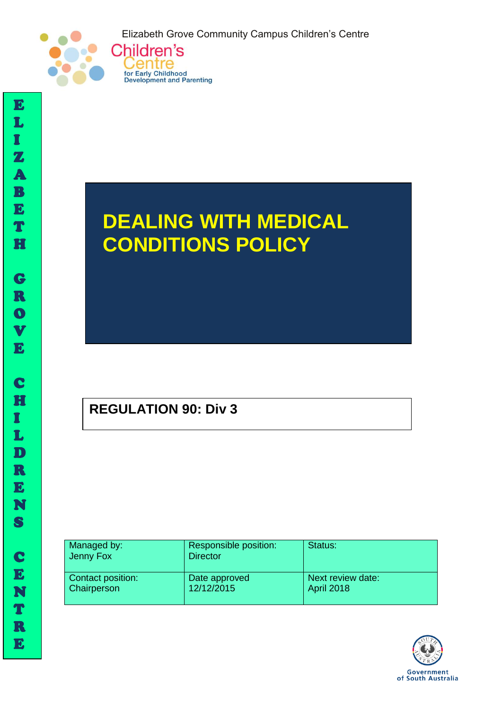Elizabeth Grove Community Campus Children's Centre





# **DEALING WITH MEDICAL CONDITIONS POLICY**

# **REGULATION 90: Div 3**

| Managed by:<br>Jenny Fox | Responsible position:<br><b>Director</b> | Status:           |
|--------------------------|------------------------------------------|-------------------|
| Contact position:        | Date approved                            | Next review date: |
| <b>Chairperson</b>       | 12/12/2015                               | <b>April 2018</b> |



I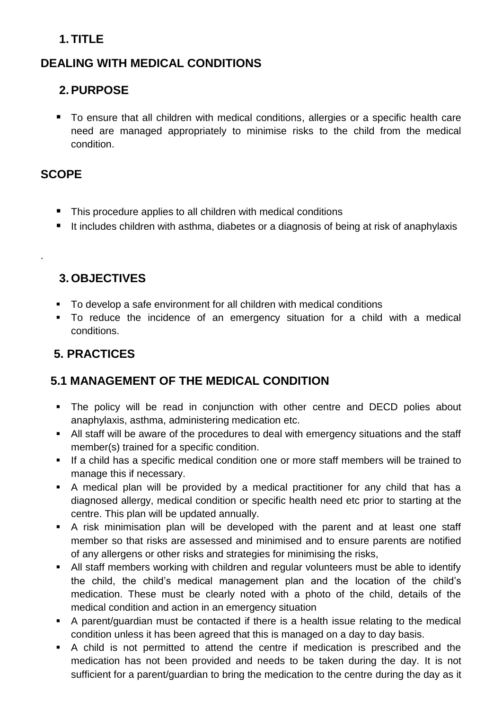## **1. TITLE**

### **DEALING WITH MEDICAL CONDITIONS**

### **2.PURPOSE**

■ To ensure that all children with medical conditions, allergies or a specific health care need are managed appropriately to minimise risks to the child from the medical condition.

#### **SCOPE**

.

- This procedure applies to all children with medical conditions
- It includes children with asthma, diabetes or a diagnosis of being at risk of anaphylaxis

#### **3. OBJECTIVES**

- To develop a safe environment for all children with medical conditions
- To reduce the incidence of an emergency situation for a child with a medical conditions.

# **5. PRACTICES**

#### **5.1 MANAGEMENT OF THE MEDICAL CONDITION**

- The policy will be read in conjunction with other centre and DECD polies about anaphylaxis, asthma, administering medication etc.
- All staff will be aware of the procedures to deal with emergency situations and the staff member(s) trained for a specific condition.
- If a child has a specific medical condition one or more staff members will be trained to manage this if necessary.
- A medical plan will be provided by a medical practitioner for any child that has a diagnosed allergy, medical condition or specific health need etc prior to starting at the centre. This plan will be updated annually.
- A risk minimisation plan will be developed with the parent and at least one staff member so that risks are assessed and minimised and to ensure parents are notified of any allergens or other risks and strategies for minimising the risks,
- All staff members working with children and regular volunteers must be able to identify the child, the child's medical management plan and the location of the child's medication. These must be clearly noted with a photo of the child, details of the medical condition and action in an emergency situation
- A parent/guardian must be contacted if there is a health issue relating to the medical condition unless it has been agreed that this is managed on a day to day basis.
- A child is not permitted to attend the centre if medication is prescribed and the medication has not been provided and needs to be taken during the day. It is not sufficient for a parent/guardian to bring the medication to the centre during the day as it